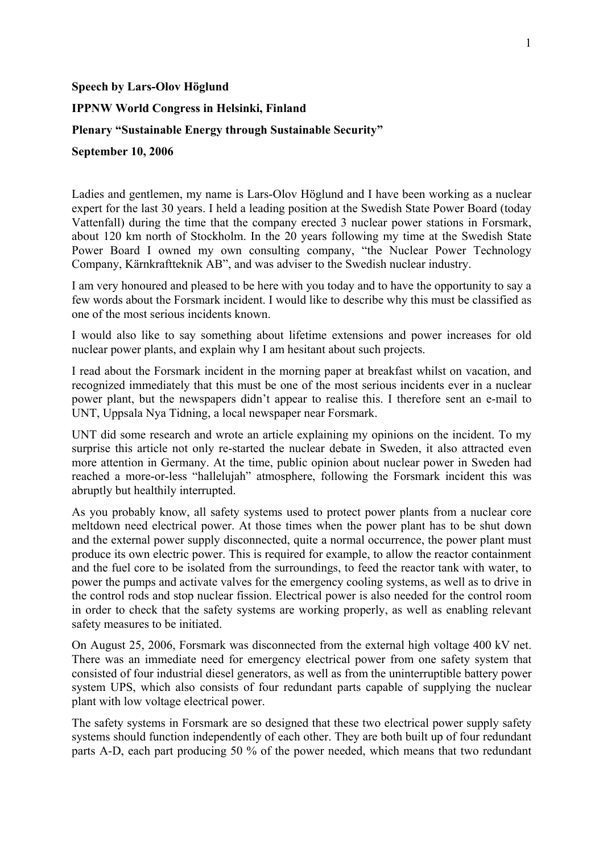## **Speech by Lars-Olov Höglund**

## **IPPNW World Congress in Helsinki, Finland**

## **Plenary "Sustainable Energy through Sustainable Security"**

## **September 10, 2006**

Ladies and gentlemen, my name is Lars-Olov Höglund and I have been working as a nuclear expert for the last 30 years. I held a leading position at the Swedish State Power Board (today Vattenfall) during the time that the company erected 3 nuclear power stations in Forsmark, about 120 km north of Stockholm. In the 20 years following my time at the Swedish State Power Board I owned my own consulting company, "the Nuclear Power Technology Company, Kärnkraftteknik AB", and was adviser to the Swedish nuclear industry.

I am very honoured and pleased to be here with you today and to have the opportunity to say a few words about the Forsmark incident. I would like to describe why this must be classified as one of the most serious incidents known.

I would also like to say something about lifetime extensions and power increases for old nuclear power plants, and explain why I am hesitant about such projects.

I read about the Forsmark incident in the morning paper at breakfast whilst on vacation, and recognized immediately that this must be one of the most serious incidents ever in a nuclear power plant, but the newspapers didn't appear to realise this. I therefore sent an e-mail to UNT, Uppsala Nya Tidning, a local newspaper near Forsmark.

UNT did some research and wrote an article explaining my opinions on the incident. To my surprise this article not only re-started the nuclear debate in Sweden, it also attracted even more attention in Germany. At the time, public opinion about nuclear power in Sweden had reached a more-or-less "hallelujah" atmosphere, following the Forsmark incident this was abruptly but healthily interrupted.

As you probably know, all safety systems used to protect power plants from a nuclear core meltdown need electrical power. At those times when the power plant has to be shut down and the external power supply disconnected, quite a normal occurrence, the power plant must produce its own electric power. This is required for example, to allow the reactor containment and the fuel core to be isolated from the surroundings, to feed the reactor tank with water, to power the pumps and activate valves for the emergency cooling systems, as well as to drive in the control rods and stop nuclear fission. Electrical power is also needed for the control room in order to check that the safety systems are working properly, as well as enabling relevant safety measures to be initiated.

On August 25, 2006, Forsmark was disconnected from the external high voltage 400 kV net. There was an immediate need for emergency electrical power from one safety system that consisted of four industrial diesel generators, as well as from the uninterruptible battery power system UPS, which also consists of four redundant parts capable of supplying the nuclear plant with low voltage electrical power.

The safety systems in Forsmark are so designed that these two electrical power supply safety systems should function independently of each other. They are both built up of four redundant parts A-D, each part producing 50 % of the power needed, which means that two redundant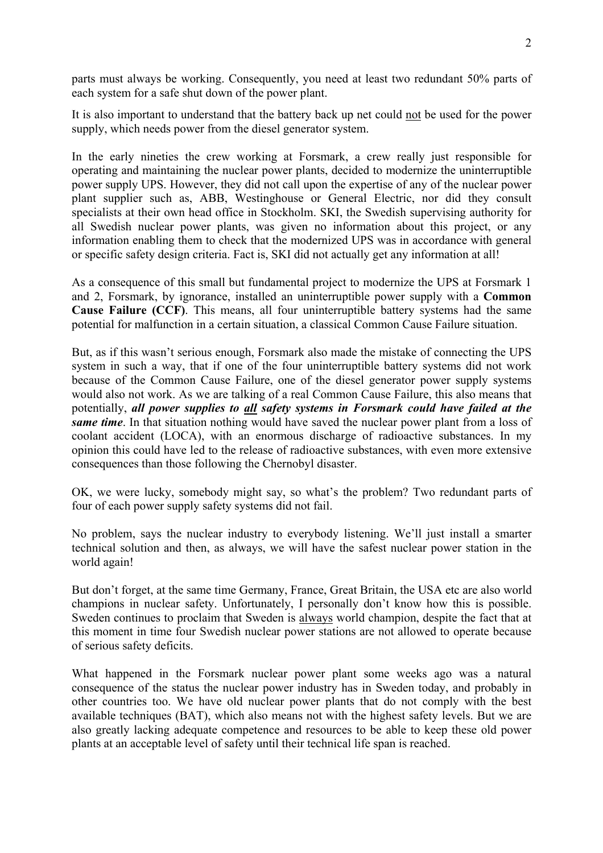parts must always be working. Consequently, you need at least two redundant 50% parts of each system for a safe shut down of the power plant.

It is also important to understand that the battery back up net could not be used for the power supply, which needs power from the diesel generator system.

In the early nineties the crew working at Forsmark, a crew really just responsible for operating and maintaining the nuclear power plants, decided to modernize the uninterruptible power supply UPS. However, they did not call upon the expertise of any of the nuclear power plant supplier such as, ABB, Westinghouse or General Electric, nor did they consult specialists at their own head office in Stockholm. SKI, the Swedish supervising authority for all Swedish nuclear power plants, was given no information about this project, or any information enabling them to check that the modernized UPS was in accordance with general or specific safety design criteria. Fact is, SKI did not actually get any information at all!

As a consequence of this small but fundamental project to modernize the UPS at Forsmark 1 and 2, Forsmark, by ignorance, installed an uninterruptible power supply with a **Common Cause Failure (CCF)**. This means, all four uninterruptible battery systems had the same potential for malfunction in a certain situation, a classical Common Cause Failure situation.

But, as if this wasn't serious enough, Forsmark also made the mistake of connecting the UPS system in such a way, that if one of the four uninterruptible battery systems did not work because of the Common Cause Failure, one of the diesel generator power supply systems would also not work. As we are talking of a real Common Cause Failure, this also means that potentially, *all power supplies to all safety systems in Forsmark could have failed at the same time*. In that situation nothing would have saved the nuclear power plant from a loss of coolant accident (LOCA), with an enormous discharge of radioactive substances. In my opinion this could have led to the release of radioactive substances, with even more extensive consequences than those following the Chernobyl disaster.

OK, we were lucky, somebody might say, so what's the problem? Two redundant parts of four of each power supply safety systems did not fail.

No problem, says the nuclear industry to everybody listening. We'll just install a smarter technical solution and then, as always, we will have the safest nuclear power station in the world again!

But don't forget, at the same time Germany, France, Great Britain, the USA etc are also world champions in nuclear safety. Unfortunately, I personally don't know how this is possible. Sweden continues to proclaim that Sweden is always world champion, despite the fact that at this moment in time four Swedish nuclear power stations are not allowed to operate because of serious safety deficits.

What happened in the Forsmark nuclear power plant some weeks ago was a natural consequence of the status the nuclear power industry has in Sweden today, and probably in other countries too. We have old nuclear power plants that do not comply with the best available techniques (BAT), which also means not with the highest safety levels. But we are also greatly lacking adequate competence and resources to be able to keep these old power plants at an acceptable level of safety until their technical life span is reached.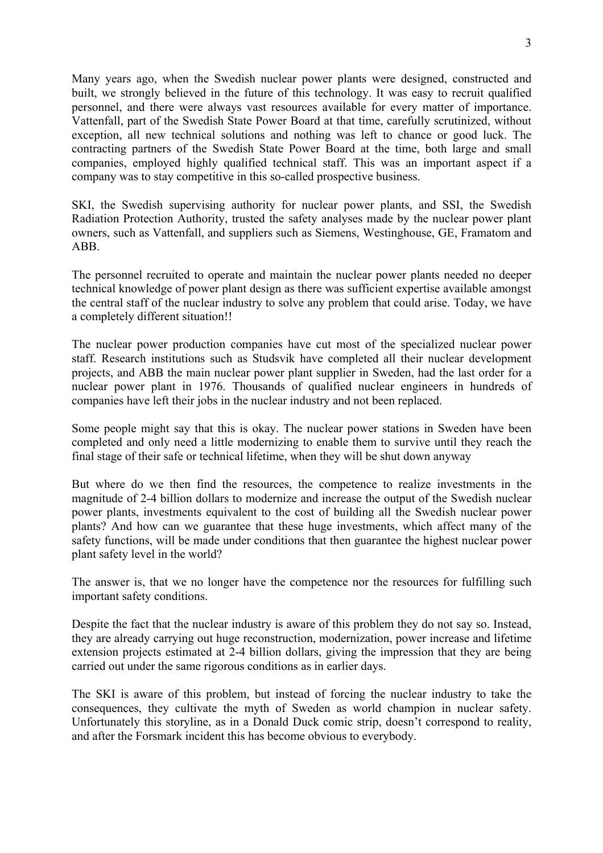Many years ago, when the Swedish nuclear power plants were designed, constructed and built, we strongly believed in the future of this technology. It was easy to recruit qualified personnel, and there were always vast resources available for every matter of importance. Vattenfall, part of the Swedish State Power Board at that time, carefully scrutinized, without exception, all new technical solutions and nothing was left to chance or good luck. The contracting partners of the Swedish State Power Board at the time, both large and small companies, employed highly qualified technical staff. This was an important aspect if a company was to stay competitive in this so-called prospective business.

SKI, the Swedish supervising authority for nuclear power plants, and SSI, the Swedish Radiation Protection Authority, trusted the safety analyses made by the nuclear power plant owners, such as Vattenfall, and suppliers such as Siemens, Westinghouse, GE, Framatom and ABB.

The personnel recruited to operate and maintain the nuclear power plants needed no deeper technical knowledge of power plant design as there was sufficient expertise available amongst the central staff of the nuclear industry to solve any problem that could arise. Today, we have a completely different situation!!

The nuclear power production companies have cut most of the specialized nuclear power staff. Research institutions such as Studsvik have completed all their nuclear development projects, and ABB the main nuclear power plant supplier in Sweden, had the last order for a nuclear power plant in 1976. Thousands of qualified nuclear engineers in hundreds of companies have left their jobs in the nuclear industry and not been replaced.

Some people might say that this is okay. The nuclear power stations in Sweden have been completed and only need a little modernizing to enable them to survive until they reach the final stage of their safe or technical lifetime, when they will be shut down anyway

But where do we then find the resources, the competence to realize investments in the magnitude of 2-4 billion dollars to modernize and increase the output of the Swedish nuclear power plants, investments equivalent to the cost of building all the Swedish nuclear power plants? And how can we guarantee that these huge investments, which affect many of the safety functions, will be made under conditions that then guarantee the highest nuclear power plant safety level in the world?

The answer is, that we no longer have the competence nor the resources for fulfilling such important safety conditions.

Despite the fact that the nuclear industry is aware of this problem they do not say so. Instead, they are already carrying out huge reconstruction, modernization, power increase and lifetime extension projects estimated at 2-4 billion dollars, giving the impression that they are being carried out under the same rigorous conditions as in earlier days.

The SKI is aware of this problem, but instead of forcing the nuclear industry to take the consequences, they cultivate the myth of Sweden as world champion in nuclear safety. Unfortunately this storyline, as in a Donald Duck comic strip, doesn't correspond to reality, and after the Forsmark incident this has become obvious to everybody.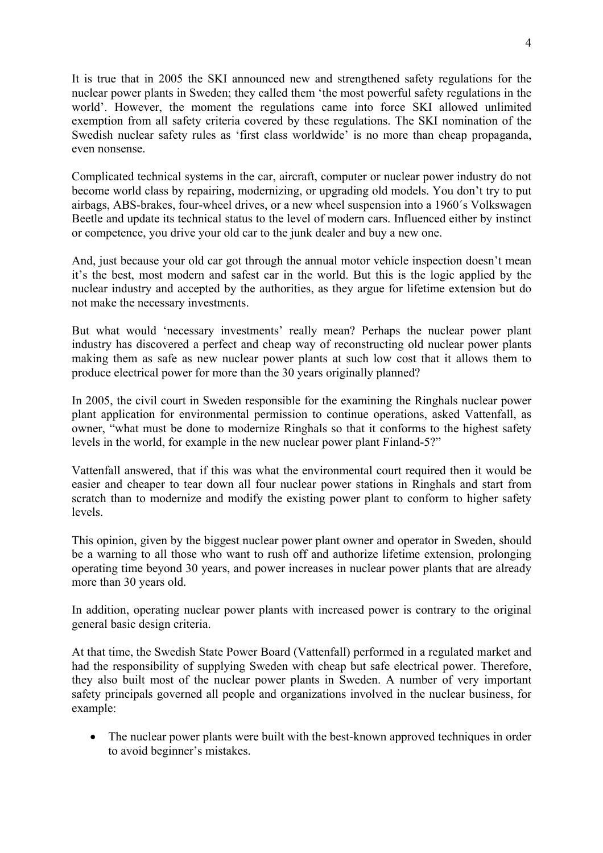It is true that in 2005 the SKI announced new and strengthened safety regulations for the nuclear power plants in Sweden; they called them 'the most powerful safety regulations in the world'. However, the moment the regulations came into force SKI allowed unlimited exemption from all safety criteria covered by these regulations. The SKI nomination of the Swedish nuclear safety rules as 'first class worldwide' is no more than cheap propaganda, even nonsense.

Complicated technical systems in the car, aircraft, computer or nuclear power industry do not become world class by repairing, modernizing, or upgrading old models. You don't try to put airbags, ABS-brakes, four-wheel drives, or a new wheel suspension into a 1960´s Volkswagen Beetle and update its technical status to the level of modern cars. Influenced either by instinct or competence, you drive your old car to the junk dealer and buy a new one.

And, just because your old car got through the annual motor vehicle inspection doesn't mean it's the best, most modern and safest car in the world. But this is the logic applied by the nuclear industry and accepted by the authorities, as they argue for lifetime extension but do not make the necessary investments.

But what would 'necessary investments' really mean? Perhaps the nuclear power plant industry has discovered a perfect and cheap way of reconstructing old nuclear power plants making them as safe as new nuclear power plants at such low cost that it allows them to produce electrical power for more than the 30 years originally planned?

In 2005, the civil court in Sweden responsible for the examining the Ringhals nuclear power plant application for environmental permission to continue operations, asked Vattenfall, as owner, "what must be done to modernize Ringhals so that it conforms to the highest safety levels in the world, for example in the new nuclear power plant Finland-5?"

Vattenfall answered, that if this was what the environmental court required then it would be easier and cheaper to tear down all four nuclear power stations in Ringhals and start from scratch than to modernize and modify the existing power plant to conform to higher safety levels.

This opinion, given by the biggest nuclear power plant owner and operator in Sweden, should be a warning to all those who want to rush off and authorize lifetime extension, prolonging operating time beyond 30 years, and power increases in nuclear power plants that are already more than 30 years old.

In addition, operating nuclear power plants with increased power is contrary to the original general basic design criteria.

At that time, the Swedish State Power Board (Vattenfall) performed in a regulated market and had the responsibility of supplying Sweden with cheap but safe electrical power. Therefore, they also built most of the nuclear power plants in Sweden. A number of very important safety principals governed all people and organizations involved in the nuclear business, for example:

• The nuclear power plants were built with the best-known approved techniques in order to avoid beginner's mistakes.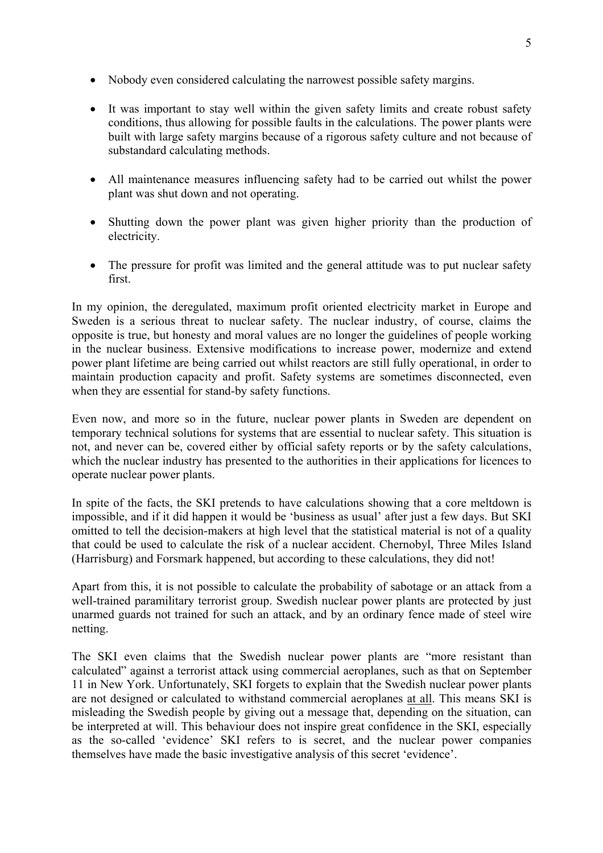- Nobody even considered calculating the narrowest possible safety margins.
- It was important to stay well within the given safety limits and create robust safety conditions, thus allowing for possible faults in the calculations. The power plants were built with large safety margins because of a rigorous safety culture and not because of substandard calculating methods.
- All maintenance measures influencing safety had to be carried out whilst the power plant was shut down and not operating.
- Shutting down the power plant was given higher priority than the production of electricity.
- The pressure for profit was limited and the general attitude was to put nuclear safety first.

In my opinion, the deregulated, maximum profit oriented electricity market in Europe and Sweden is a serious threat to nuclear safety. The nuclear industry, of course, claims the opposite is true, but honesty and moral values are no longer the guidelines of people working in the nuclear business. Extensive modifications to increase power, modernize and extend power plant lifetime are being carried out whilst reactors are still fully operational, in order to maintain production capacity and profit. Safety systems are sometimes disconnected, even when they are essential for stand-by safety functions.

Even now, and more so in the future, nuclear power plants in Sweden are dependent on temporary technical solutions for systems that are essential to nuclear safety. This situation is not, and never can be, covered either by official safety reports or by the safety calculations, which the nuclear industry has presented to the authorities in their applications for licences to operate nuclear power plants.

In spite of the facts, the SKI pretends to have calculations showing that a core meltdown is impossible, and if it did happen it would be 'business as usual' after just a few days. But SKI omitted to tell the decision-makers at high level that the statistical material is not of a quality that could be used to calculate the risk of a nuclear accident. Chernobyl, Three Miles Island (Harrisburg) and Forsmark happened, but according to these calculations, they did not!

Apart from this, it is not possible to calculate the probability of sabotage or an attack from a well-trained paramilitary terrorist group. Swedish nuclear power plants are protected by just unarmed guards not trained for such an attack, and by an ordinary fence made of steel wire netting.

The SKI even claims that the Swedish nuclear power plants are "more resistant than calculated" against a terrorist attack using commercial aeroplanes, such as that on September 11 in New York. Unfortunately, SKI forgets to explain that the Swedish nuclear power plants are not designed or calculated to withstand commercial aeroplanes at all. This means SKI is misleading the Swedish people by giving out a message that, depending on the situation, can be interpreted at will. This behaviour does not inspire great confidence in the SKI, especially as the so-called 'evidence' SKI refers to is secret, and the nuclear power companies themselves have made the basic investigative analysis of this secret 'evidence'.